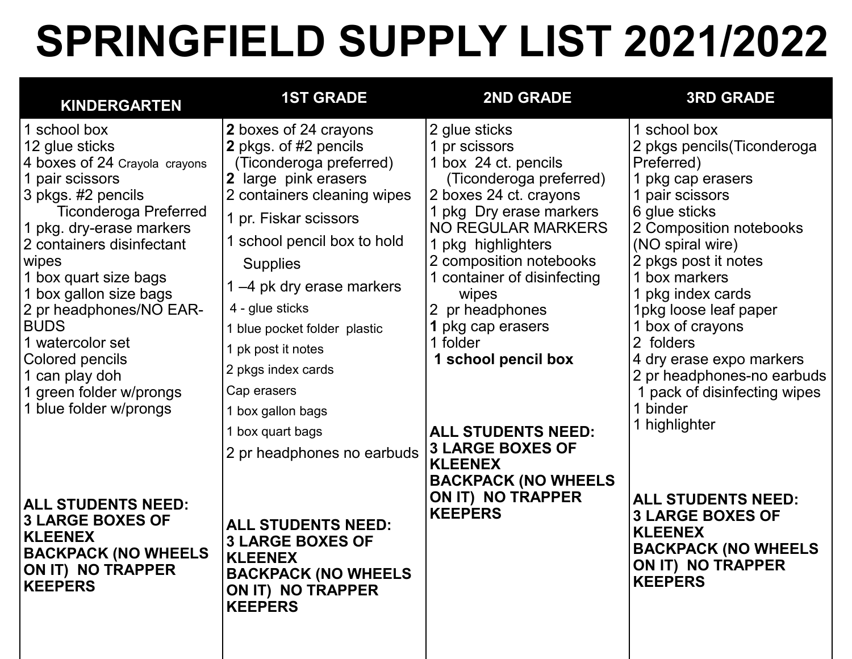## **SPRINGFIELD SUPPLY LIST 2021/2022**

| <b>KINDERGARTEN</b>                                                                                                                                                                                                                                                                                                                                                                                                                                                                                                                                                         | <b>1ST GRADE</b>                                                                                                                                                                                                                                                                                                                                                                                                                                                                                                                                                                   | <b>2ND GRADE</b>                                                                                                                                                                                                                                                                                                                                                                                                                                                                   | <b>3RD GRADE</b>                                                                                                                                                                                                                                                                                                                                                                                                                                                                                                                                    |
|-----------------------------------------------------------------------------------------------------------------------------------------------------------------------------------------------------------------------------------------------------------------------------------------------------------------------------------------------------------------------------------------------------------------------------------------------------------------------------------------------------------------------------------------------------------------------------|------------------------------------------------------------------------------------------------------------------------------------------------------------------------------------------------------------------------------------------------------------------------------------------------------------------------------------------------------------------------------------------------------------------------------------------------------------------------------------------------------------------------------------------------------------------------------------|------------------------------------------------------------------------------------------------------------------------------------------------------------------------------------------------------------------------------------------------------------------------------------------------------------------------------------------------------------------------------------------------------------------------------------------------------------------------------------|-----------------------------------------------------------------------------------------------------------------------------------------------------------------------------------------------------------------------------------------------------------------------------------------------------------------------------------------------------------------------------------------------------------------------------------------------------------------------------------------------------------------------------------------------------|
| 1 school box<br>12 glue sticks<br>4 boxes of 24 Crayola crayons<br>1 pair scissors<br>3 pkgs. #2 pencils<br><b>Ticonderoga Preferred</b><br>1 pkg. dry-erase markers<br>2 containers disinfectant<br>wipes<br>1 box quart size bags<br>1 box gallon size bags<br>2 pr headphones/NO EAR-<br><b>BUDS</b><br>1 watercolor set<br>Colored pencils<br>1 can play doh<br>1 green folder w/prongs<br>1 blue folder w/prongs<br><b>ALL STUDENTS NEED:</b><br><b>3 LARGE BOXES OF</b><br><b>KLEENEX</b><br><b>BACKPACK (NO WHEELS</b><br><b>ON IT) NO TRAPPER</b><br><b>KEEPERS</b> | 2 boxes of 24 crayons<br>2 pkgs. of #2 pencils<br>(Ticonderoga preferred)<br>2 large pink erasers<br>2 containers cleaning wipes<br>1 pr. Fiskar scissors<br>1 school pencil box to hold<br><b>Supplies</b><br>1–4 pk dry erase markers<br>4 - glue sticks<br>1 blue pocket folder plastic<br>1 pk post it notes<br>2 pkgs index cards<br>Cap erasers<br>1 box gallon bags<br>1 box quart bags<br>2 pr headphones no earbuds<br><b>ALL STUDENTS NEED:</b><br><b>3 LARGE BOXES OF</b><br><b>KLEENEX</b><br><b>BACKPACK (NO WHEELS</b><br><b>ON IT) NO TRAPPER</b><br><b>KEEPERS</b> | 2 glue sticks<br>pr scissors<br>1 box 24 ct. pencils<br>(Ticonderoga preferred)<br>2 boxes 24 ct. crayons<br>1 pkg Dry erase markers<br><b>NO REGULAR MARKERS</b><br>1 pkg highlighters<br>2 composition notebooks<br>1 container of disinfecting<br>wipes<br>2 pr headphones<br>pkg cap erasers<br>1 folder<br>1 school pencil box<br><b>ALL STUDENTS NEED:</b><br><b>3 LARGE BOXES OF</b><br><b>KLEENEX</b><br><b>BACKPACK (NO WHEELS</b><br>ON IT) NO TRAPPER<br><b>KEEPERS</b> | 1 school box<br>2 pkgs pencils (Ticonderoga<br>Preferred)<br>pkg cap erasers<br>1 pair scissors<br>6 glue sticks<br>2 Composition notebooks<br>(NO spiral wire)<br>2 pkgs post it notes<br>box markers<br>pkg index cards<br>1pkg loose leaf paper<br>box of crayons<br>2 folders<br>4 dry erase expo markers<br>2 pr headphones-no earbuds<br>pack of disinfecting wipes<br>binder<br>1 highlighter<br><b>ALL STUDENTS NEED:</b><br><b>3 LARGE BOXES OF</b><br><b>KLEENEX</b><br><b>BACKPACK (NO WHEELS</b><br>ON IT) NO TRAPPER<br><b>KEEPERS</b> |
|                                                                                                                                                                                                                                                                                                                                                                                                                                                                                                                                                                             |                                                                                                                                                                                                                                                                                                                                                                                                                                                                                                                                                                                    |                                                                                                                                                                                                                                                                                                                                                                                                                                                                                    |                                                                                                                                                                                                                                                                                                                                                                                                                                                                                                                                                     |